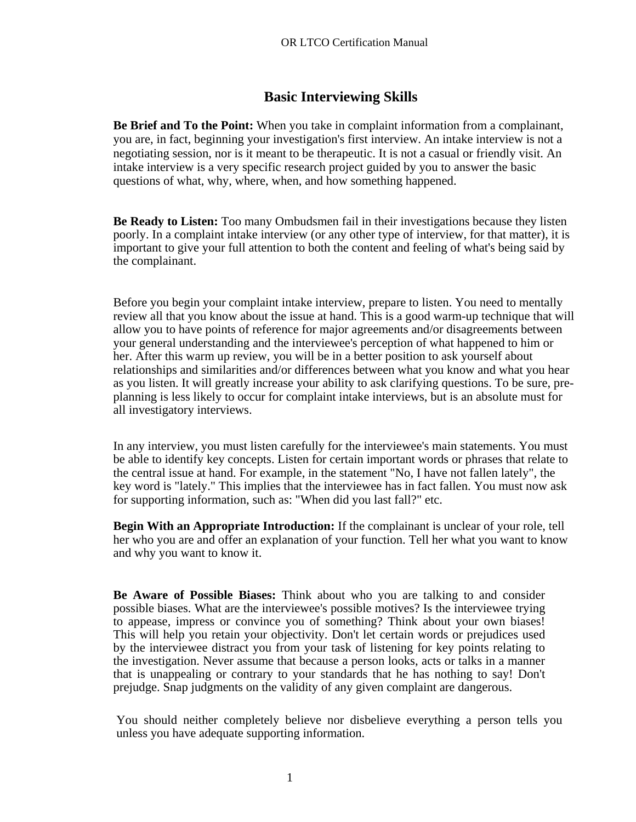# **Basic Interviewing Skills**

**Be Brief and To the Point:** When you take in complaint information from a complainant, you are, in fact, beginning your investigation's first interview. An intake interview is not a negotiating session, nor is it meant to be therapeutic. It is not a casual or friendly visit. An intake interview is a very specific research project guided by you to answer the basic questions of what, why, where, when, and how something happened.

**Be Ready to Listen:** Too many Ombudsmen fail in their investigations because they listen poorly. In a complaint intake interview (or any other type of interview, for that matter), it is important to give your full attention to both the content and feeling of what's being said by the complainant.

Before you begin your complaint intake interview, prepare to listen. You need to mentally review all that you know about the issue at hand. This is a good warm-up technique that will allow you to have points of reference for major agreements and/or disagreements between your general understanding and the interviewee's perception of what happened to him or her. After this warm up review, you will be in a better position to ask yourself about relationships and similarities and/or differences between what you know and what you hear as you listen. It will greatly increase your ability to ask clarifying questions. To be sure, preplanning is less likely to occur for complaint intake interviews, but is an absolute must for all investigatory interviews.

In any interview, you must listen carefully for the interviewee's main statements. You must be able to identify key concepts. Listen for certain important words or phrases that relate to the central issue at hand. For example, in the statement "No, I have not fallen lately", the key word is "lately." This implies that the interviewee has in fact fallen. You must now ask for supporting information, such as: "When did you last fall?" etc.

**Begin With an Appropriate Introduction:** If the complainant is unclear of your role, tell her who you are and offer an explanation of your function. Tell her what you want to know and why you want to know it.

**Be Aware of Possible Biases:** Think about who you are talking to and consider possible biases. What are the interviewee's possible motives? Is the interviewee trying to appease, impress or convince you of something? Think about your own biases! This will help you retain your objectivity. Don't let certain words or prejudices used by the interviewee distract you from your task of listening for key points relating to the investigation. Never assume that because a person looks, acts or talks in a manner that is unappealing or contrary to your standards that he has nothing to say! Don't prejudge. Snap judgments on the validity of any given complaint are dangerous.

You should neither completely believe nor disbelieve everything a person tells you unless you have adequate supporting information.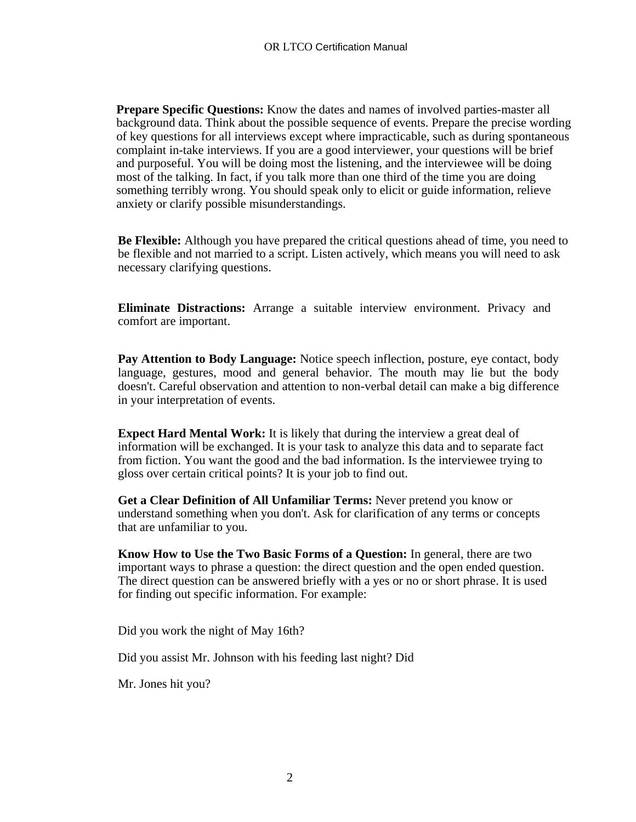**Prepare Specific Questions:** Know the dates and names of involved parties-master all background data. Think about the possible sequence of events. Prepare the precise wording of key questions for all interviews except where impracticable, such as during spontaneous complaint in-take interviews. If you are a good interviewer, your questions will be brief and purposeful. You will be doing most the listening, and the interviewee will be doing most of the talking. In fact, if you talk more than one third of the time you are doing something terribly wrong. You should speak only to elicit or guide information, relieve anxiety or clarify possible misunderstandings.

**Be Flexible:** Although you have prepared the critical questions ahead of time, you need to be flexible and not married to a script. Listen actively, which means you will need to ask necessary clarifying questions.

**Eliminate Distractions:** Arrange a suitable interview environment. Privacy and comfort are important.

**Pay Attention to Body Language:** Notice speech inflection, posture, eye contact, body language, gestures, mood and general behavior. The mouth may lie but the body doesn't. Careful observation and attention to non-verbal detail can make a big difference in your interpretation of events.

**Expect Hard Mental Work:** It is likely that during the interview a great deal of information will be exchanged. It is your task to analyze this data and to separate fact from fiction. You want the good and the bad information. Is the interviewee trying to gloss over certain critical points? It is your job to find out.

**Get a Clear Definition of All Unfamiliar Terms:** Never pretend you know or understand something when you don't. Ask for clarification of any terms or concepts that are unfamiliar to you.

**Know How to Use the Two Basic Forms of a Question:** In general, there are two important ways to phrase a question: the direct question and the open ended question. The direct question can be answered briefly with a yes or no or short phrase. It is used for finding out specific information. For example:

Did you work the night of May 16th?

Did you assist Mr. Johnson with his feeding last night? Did

Mr. Jones hit you?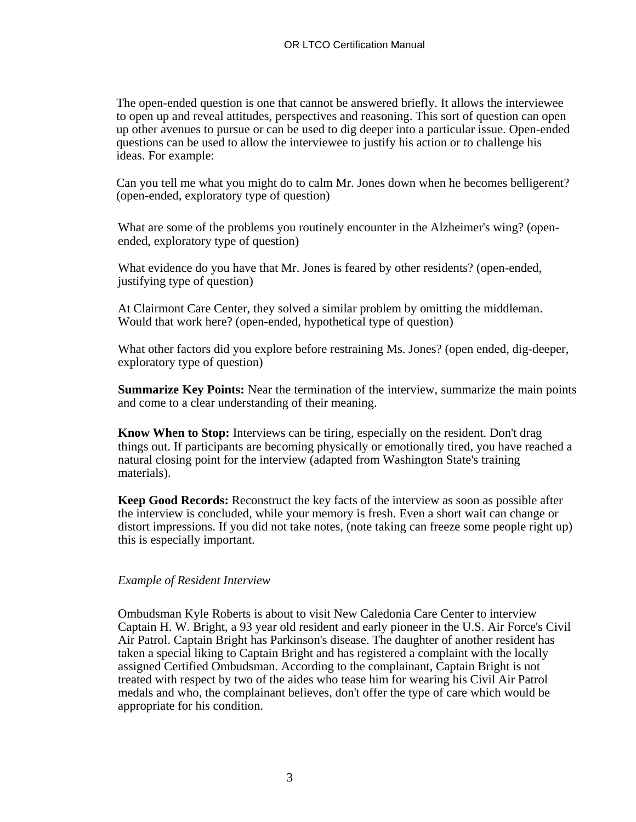The open-ended question is one that cannot be answered briefly. It allows the interviewee to open up and reveal attitudes, perspectives and reasoning. This sort of question can open up other avenues to pursue or can be used to dig deeper into a particular issue. Open-ended questions can be used to allow the interviewee to justify his action or to challenge his ideas. For example:

Can you tell me what you might do to calm Mr. Jones down when he becomes belligerent? (open-ended, exploratory type of question)

What are some of the problems you routinely encounter in the Alzheimer's wing? (openended, exploratory type of question)

What evidence do you have that Mr. Jones is feared by other residents? (open-ended, justifying type of question)

At Clairmont Care Center, they solved a similar problem by omitting the middleman. Would that work here? (open-ended, hypothetical type of question)

What other factors did you explore before restraining Ms. Jones? (open ended, dig-deeper, exploratory type of question)

**Summarize Key Points:** Near the termination of the interview, summarize the main points and come to a clear understanding of their meaning.

**Know When to Stop:** Interviews can be tiring, especially on the resident. Don't drag things out. If participants are becoming physically or emotionally tired, you have reached a natural closing point for the interview (adapted from Washington State's training materials).

**Keep Good Records:** Reconstruct the key facts of the interview as soon as possible after the interview is concluded, while your memory is fresh. Even a short wait can change or distort impressions. If you did not take notes, (note taking can freeze some people right up) this is especially important.

### *Example of Resident Interview*

Ombudsman Kyle Roberts is about to visit New Caledonia Care Center to interview Captain H. W. Bright, a 93 year old resident and early pioneer in the U.S. Air Force's Civil Air Patrol. Captain Bright has Parkinson's disease. The daughter of another resident has taken a special liking to Captain Bright and has registered a complaint with the locally assigned Certified Ombudsman. According to the complainant, Captain Bright is not treated with respect by two of the aides who tease him for wearing his Civil Air Patrol medals and who, the complainant believes, don't offer the type of care which would be appropriate for his condition.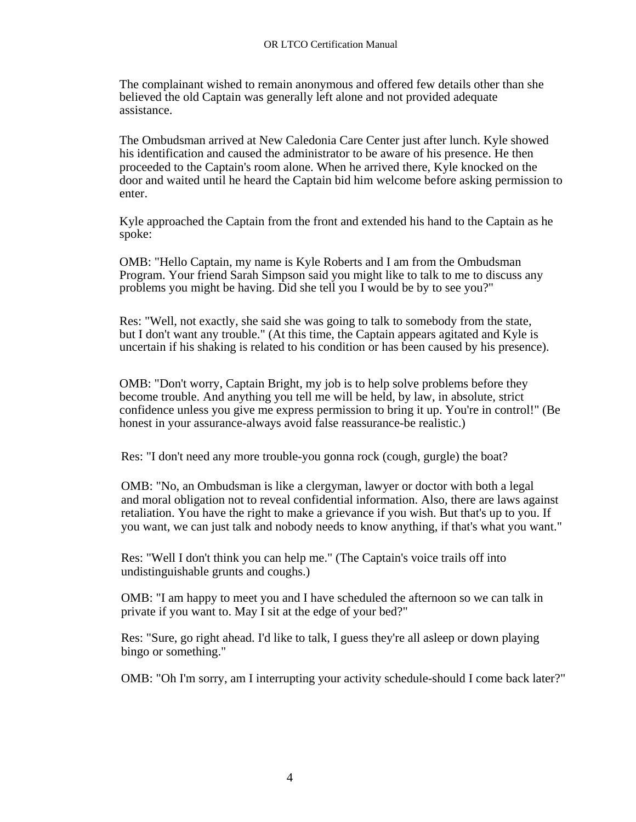The complainant wished to remain anonymous and offered few details other than she believed the old Captain was generally left alone and not provided adequate assistance.

The Ombudsman arrived at New Caledonia Care Center just after lunch. Kyle showed his identification and caused the administrator to be aware of his presence. He then proceeded to the Captain's room alone. When he arrived there, Kyle knocked on the door and waited until he heard the Captain bid him welcome before asking permission to enter.

Kyle approached the Captain from the front and extended his hand to the Captain as he spoke:

OMB: "Hello Captain, my name is Kyle Roberts and I am from the Ombudsman Program. Your friend Sarah Simpson said you might like to talk to me to discuss any problems you might be having. Did she tell you I would be by to see you?"

Res: "Well, not exactly, she said she was going to talk to somebody from the state, but I don't want any trouble." (At this time, the Captain appears agitated and Kyle is uncertain if his shaking is related to his condition or has been caused by his presence).

OMB: "Don't worry, Captain Bright, my job is to help solve problems before they become trouble. And anything you tell me will be held, by law, in absolute, strict confidence unless you give me express permission to bring it up. You're in control!" (Be honest in your assurance-always avoid false reassurance-be realistic.)

Res: "I don't need any more trouble-you gonna rock (cough, gurgle) the boat?

OMB: "No, an Ombudsman is like a clergyman, lawyer or doctor with both a legal and moral obligation not to reveal confidential information. Also, there are laws against retaliation. You have the right to make a grievance if you wish. But that's up to you. If you want, we can just talk and nobody needs to know anything, if that's what you want."

Res: "Well I don't think you can help me." (The Captain's voice trails off into undistinguishable grunts and coughs.)

OMB: "I am happy to meet you and I have scheduled the afternoon so we can talk in private if you want to. May I sit at the edge of your bed?"

Res: "Sure, go right ahead. I'd like to talk, I guess they're all asleep or down playing bingo or something."

OMB: "Oh I'm sorry, am I interrupting your activity schedule-should I come back later?"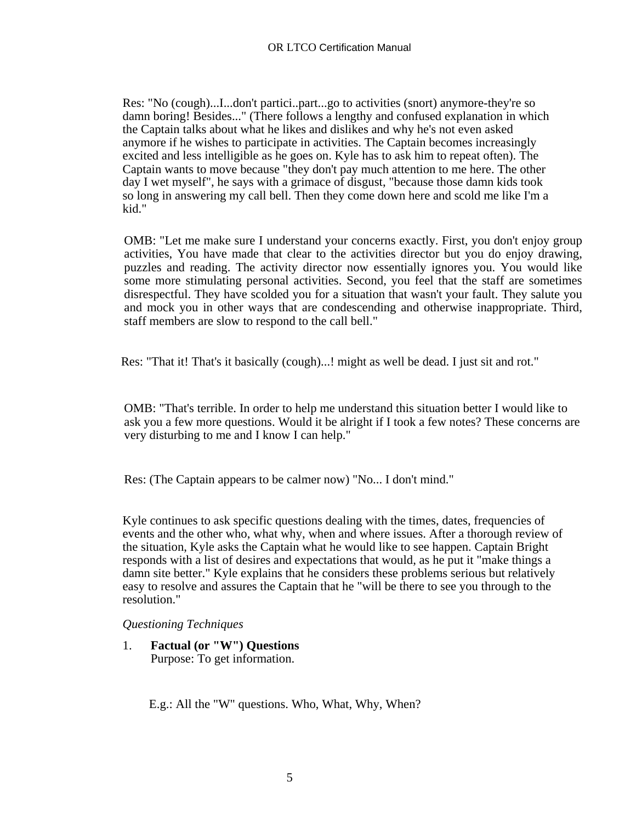Res: "No (cough)...I...don't partici..part...go to activities (snort) anymore-they're so damn boring! Besides..." (There follows a lengthy and confused explanation in which the Captain talks about what he likes and dislikes and why he's not even asked anymore if he wishes to participate in activities. The Captain becomes increasingly excited and less intelligible as he goes on. Kyle has to ask him to repeat often). The Captain wants to move because "they don't pay much attention to me here. The other day I wet myself", he says with a grimace of disgust, "because those damn kids took so long in answering my call bell. Then they come down here and scold me like I'm a kid."

OMB: "Let me make sure I understand your concerns exactly. First, you don't enjoy group activities, You have made that clear to the activities director but you do enjoy drawing, puzzles and reading. The activity director now essentially ignores you. You would like some more stimulating personal activities. Second, you feel that the staff are sometimes disrespectful. They have scolded you for a situation that wasn't your fault. They salute you and mock you in other ways that are condescending and otherwise inappropriate. Third, staff members are slow to respond to the call bell."

Res: "That it! That's it basically (cough)...! might as well be dead. I just sit and rot."

OMB: "That's terrible. In order to help me understand this situation better I would like to ask you a few more questions. Would it be alright if I took a few notes? These concerns are very disturbing to me and I know I can help."

Res: (The Captain appears to be calmer now) "No... I don't mind."

Kyle continues to ask specific questions dealing with the times, dates, frequencies of events and the other who, what why, when and where issues. After a thorough review of the situation, Kyle asks the Captain what he would like to see happen. Captain Bright responds with a list of desires and expectations that would, as he put it "make things a damn site better." Kyle explains that he considers these problems serious but relatively easy to resolve and assures the Captain that he "will be there to see you through to the resolution."

### *Questioning Techniques*

1. **Factual (or "W") Questions**  Purpose: To get information.

E.g.: All the "W" questions. Who, What, Why, When?